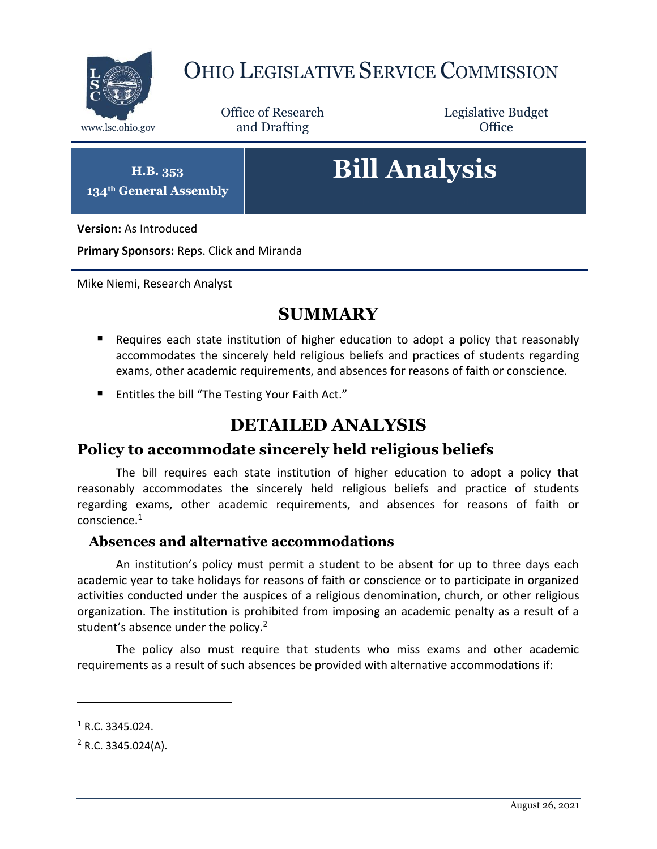

## OHIO LEGISLATIVE SERVICE COMMISSION

Office of Research www.lsc.ohio.gov **and Drafting Office** 

Legislative Budget

**H.B. 353 134th General Assembly**

# **Bill Analysis**

**Version:** As Introduced

**Primary Sponsors:** Reps. Click and Miranda

Mike Niemi, Research Analyst

### **SUMMARY**

- Requires each state institution of higher education to adopt a policy that reasonably accommodates the sincerely held religious beliefs and practices of students regarding exams, other academic requirements, and absences for reasons of faith or conscience.
- Entitles the bill "The Testing Your Faith Act."

## **DETAILED ANALYSIS**

#### **Policy to accommodate sincerely held religious beliefs**

The bill requires each state institution of higher education to adopt a policy that reasonably accommodates the sincerely held religious beliefs and practice of students regarding exams, other academic requirements, and absences for reasons of faith or conscience.<sup>1</sup>

#### **Absences and alternative accommodations**

An institution's policy must permit a student to be absent for up to three days each academic year to take holidays for reasons of faith or conscience or to participate in organized activities conducted under the auspices of a religious denomination, church, or other religious organization. The institution is prohibited from imposing an academic penalty as a result of a student's absence under the policy.<sup>2</sup>

The policy also must require that students who miss exams and other academic requirements as a result of such absences be provided with alternative accommodations if:

 $\overline{a}$ 

 $1$  R.C. 3345.024.

 $2$  R.C. 3345.024(A).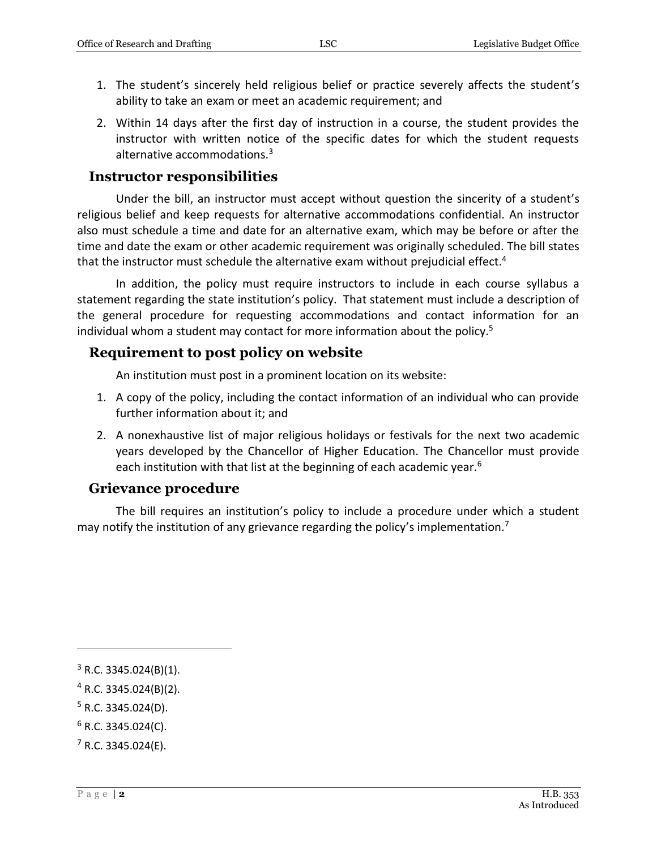- 1. The student's sincerely held religious belief or practice severely affects the student's ability to take an exam or meet an academic requirement; and
- 2. Within 14 days after the first day of instruction in a course, the student provides the instructor with written notice of the specific dates for which the student requests alternative accommodations.<sup>3</sup>

#### **Instructor responsibilities**

Under the bill, an instructor must accept without question the sincerity of a student's religious belief and keep requests for alternative accommodations confidential. An instructor also must schedule a time and date for an alternative exam, which may be before or after the time and date the exam or other academic requirement was originally scheduled. The bill states that the instructor must schedule the alternative exam without prejudicial effect.<sup>4</sup>

In addition, the policy must require instructors to include in each course syllabus a statement regarding the state institution's policy. That statement must include a description of the general procedure for requesting accommodations and contact information for an individual whom a student may contact for more information about the policy.<sup>5</sup>

#### **Requirement to post policy on website**

An institution must post in a prominent location on its website:

- 1. A copy of the policy, including the contact information of an individual who can provide further information about it; and
- 2. A nonexhaustive list of major religious holidays or festivals for the next two academic years developed by the Chancellor of Higher Education. The Chancellor must provide each institution with that list at the beginning of each academic year.<sup>6</sup>

#### **Grievance procedure**

The bill requires an institution's policy to include a procedure under which a student may notify the institution of any grievance regarding the policy's implementation.<sup>7</sup>

 $5$  R.C. 3345.024(D).

 $\overline{a}$ 

 $3$  R.C. 3345.024(B)(1).

 $4$  R.C. 3345.024(B)(2).

 $6$  R.C. 3345.024(C).

 $7$  R.C. 3345.024(E).